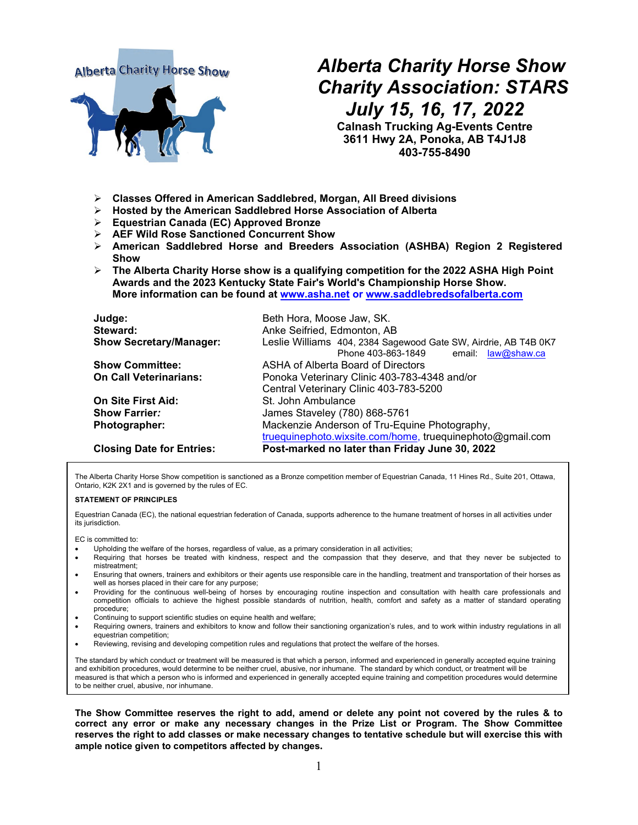# **Alberta Charity Horse Show**



# *Alberta Charity Horse Show Charity Association: STARS July 15, 16, 17, 2022*

**Calnash Trucking Ag-Events Centre 3611 Hwy 2A, Ponoka, AB T4J1J8 403-755-8490**

- **Classes Offered in American Saddlebred, Morgan, All Breed divisions**
- **Hosted by the American Saddlebred Horse Association of Alberta**
- **Equestrian Canada (EC) Approved Bronze**
- **AEF Wild Rose Sanctioned Concurrent Show**
- **American Saddlebred Horse and Breeders Association (ASHBA) Region 2 Registered Show**
- **The Alberta Charity Horse show is a qualifying competition for the 2022 ASHA High Point Awards and the 2023 Kentucky State Fair's World's Championship Horse Show. More information can be found at www.asha.net or [www.saddlebredsofalberta.com](http://www.saddlebredsofalberta.com/)**

| Judge:                           | Beth Hora, Moose Jaw, SK.                                       |
|----------------------------------|-----------------------------------------------------------------|
| Steward:                         | Anke Seifried, Edmonton, AB                                     |
| <b>Show Secretary/Manager:</b>   | Leslie Williams 404, 2384 Sagewood Gate SW, Airdrie, AB T4B 0K7 |
|                                  | Phone 403-863-1849<br>email: law@shaw.ca                        |
| <b>Show Committee:</b>           | ASHA of Alberta Board of Directors                              |
| <b>On Call Veterinarians:</b>    | Ponoka Veterinary Clinic 403-783-4348 and/or                    |
|                                  | Central Veterinary Clinic 403-783-5200                          |
| <b>On Site First Aid:</b>        | St. John Ambulance                                              |
| <b>Show Farrier:</b>             | James Staveley (780) 868-5761                                   |
| Photographer:                    | Mackenzie Anderson of Tru-Equine Photography,                   |
|                                  | truequinephoto.wixsite.com/home, truequinephoto@gmail.com       |
| <b>Closing Date for Entries:</b> | Post-marked no later than Friday June 30, 2022                  |

The Alberta Charity Horse Show competition is sanctioned as a Bronze competition member of Equestrian Canada, 11 Hines Rd., Suite 201, Ottawa, Ontario, K2K 2X1 and is governed by the rules of EC.

#### **STATEMENT OF PRINCIPLES**

Equestrian Canada (EC), the national equestrian federation of Canada, supports adherence to the humane treatment of horses in all activities under its jurisdiction.

EC is committed to:

- Upholding the welfare of the horses, regardless of value, as a primary consideration in all activities;
- Requiring that horses be treated with kindness, respect and the compassion that they deserve, and that they never be subjected to mistreatment;
- Ensuring that owners, trainers and exhibitors or their agents use responsible care in the handling, treatment and transportation of their horses as well as horses placed in their care for any purpose;
- Providing for the continuous well-being of horses by encouraging routine inspection and consultation with health care professionals and competition officials to achieve the highest possible standards of nutrition, health, comfort and safety as a matter of standard operating procedure;
- Continuing to support scientific studies on equine health and welfare;
- Requiring owners, trainers and exhibitors to know and follow their sanctioning organization's rules, and to work within industry regulations in all equestrian competition;
- Reviewing, revising and developing competition rules and regulations that protect the welfare of the horses.

The standard by which conduct or treatment will be measured is that which a person, informed and experienced in generally accepted equine training and exhibition procedures, would determine to be neither cruel, abusive, nor inhumane. The standard by which conduct, or treatment will be measured is that which a person who is informed and experienced in generally accepted equine training and competition procedures would determine to be neither cruel, abusive, nor inhumane.

**The Show Committee reserves the right to add, amend or delete any point not covered by the rules & to correct any error or make any necessary changes in the Prize List or Program. The Show Committee reserves the right to add classes or make necessary changes to tentative schedule but will exercise this with ample notice given to competitors affected by changes.**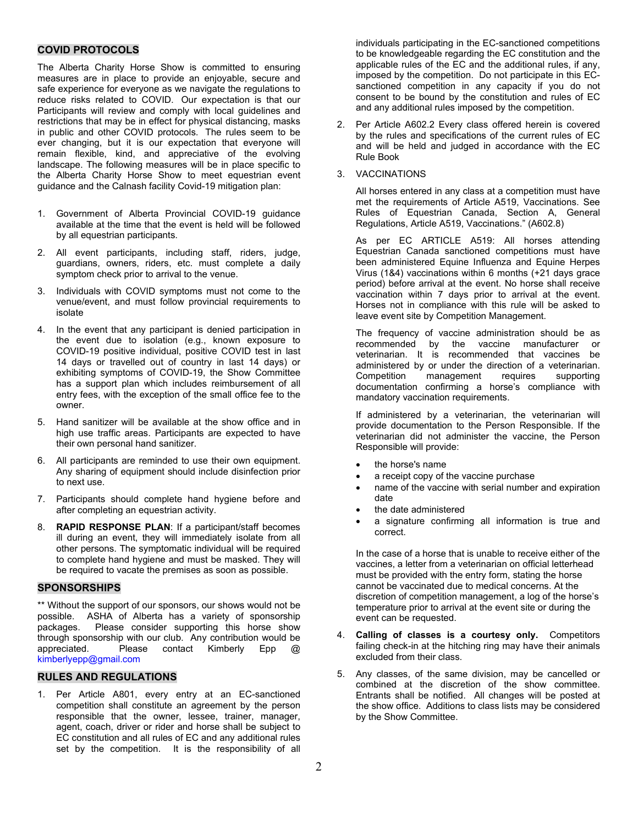# **COVID PROTOCOLS**

The Alberta Charity Horse Show is committed to ensuring measures are in place to provide an enjoyable, secure and safe experience for everyone as we navigate the regulations to reduce risks related to COVID. Our expectation is that our Participants will review and comply with local guidelines and restrictions that may be in effect for physical distancing, masks in public and other COVID protocols. The rules seem to be ever changing, but it is our expectation that everyone will remain flexible, kind, and appreciative of the evolving landscape. The following measures will be in place specific to the Alberta Charity Horse Show to meet equestrian event guidance and the Calnash facility Covid-19 mitigation plan:

- 1. Government of Alberta Provincial COVID-19 guidance available at the time that the event is held will be followed by all equestrian participants.
- 2. All event participants, including staff, riders, judge, guardians, owners, riders, etc. must complete a daily symptom check prior to arrival to the venue.
- Individuals with COVID symptoms must not come to the venue/event, and must follow provincial requirements to isolate
- 4. In the event that any participant is denied participation in the event due to isolation (e.g., known exposure to COVID-19 positive individual, positive COVID test in last 14 days or travelled out of country in last 14 days) or exhibiting symptoms of COVID-19, the Show Committee has a support plan which includes reimbursement of all entry fees, with the exception of the small office fee to the owner.
- 5. Hand sanitizer will be available at the show office and in high use traffic areas. Participants are expected to have their own personal hand sanitizer.
- 6. All participants are reminded to use their own equipment. Any sharing of equipment should include disinfection prior to next use.
- 7. Participants should complete hand hygiene before and after completing an equestrian activity.
- 8. **RAPID RESPONSE PLAN**: If a participant/staff becomes ill during an event, they will immediately isolate from all other persons. The symptomatic individual will be required to complete hand hygiene and must be masked. They will be required to vacate the premises as soon as possible.

#### **SPONSORSHIPS**

\*\* Without the support of our sponsors, our shows would not be possible. ASHA of Alberta has a variety of sponsorship packages. Please consider supporting this horse show through sponsorship with our club. Any contribution would be appreciated. Please contact Kimberly Epp @ kimberlyepp@gmail.com

#### **RULES AND REGULATIONS**

1. Per Article A801, every entry at an EC-sanctioned competition shall constitute an agreement by the person responsible that the owner, lessee, trainer, manager, agent, coach, driver or rider and horse shall be subject to EC constitution and all rules of EC and any additional rules set by the competition. It is the responsibility of all

individuals participating in the EC-sanctioned competitions to be knowledgeable regarding the EC constitution and the applicable rules of the EC and the additional rules, if any, imposed by the competition. Do not participate in this ECsanctioned competition in any capacity if you do not consent to be bound by the constitution and rules of EC and any additional rules imposed by the competition.

2. Per Article A602.2 Every class offered herein is covered by the rules and specifications of the current rules of EC and will be held and judged in accordance with the EC Rule Book

#### 3. VACCINATIONS

All horses entered in any class at a competition must have met the requirements of Article A519, Vaccinations. See Rules of Equestrian Canada, Section A, General Regulations, Article A519, Vaccinations." (A602.8)

As per EC ARTICLE A519: All horses attending Equestrian Canada sanctioned competitions must have been administered Equine Influenza and Equine Herpes Virus (1&4) vaccinations within 6 months (+21 days grace period) before arrival at the event. No horse shall receive vaccination within 7 days prior to arrival at the event. Horses not in compliance with this rule will be asked to leave event site by Competition Management.

The frequency of vaccine administration should be as<br>recommended by the vaccine manufacturer or vaccine manufacturer or veterinarian. It is recommended that vaccines be administered by or under the direction of a veterinarian. Competition management requires supporting documentation confirming a horse's compliance with mandatory vaccination requirements.

If administered by a veterinarian, the veterinarian will provide documentation to the Person Responsible. If the veterinarian did not administer the vaccine, the Person Responsible will provide:

- the horse's name
- a receipt copy of the vaccine purchase
- name of the vaccine with serial number and expiration date
- the date administered
- a signature confirming all information is true and correct.

In the case of a horse that is unable to receive either of the vaccines, a letter from a veterinarian on official letterhead must be provided with the entry form, stating the horse cannot be vaccinated due to medical concerns. At the discretion of competition management, a log of the horse's temperature prior to arrival at the event site or during the event can be requested.

- 4. **Calling of classes is a courtesy only.** Competitors failing check-in at the hitching ring may have their animals excluded from their class.
- 5. Any classes, of the same division, may be cancelled or combined at the discretion of the show committee. Entrants shall be notified. All changes will be posted at the show office. Additions to class lists may be considered by the Show Committee.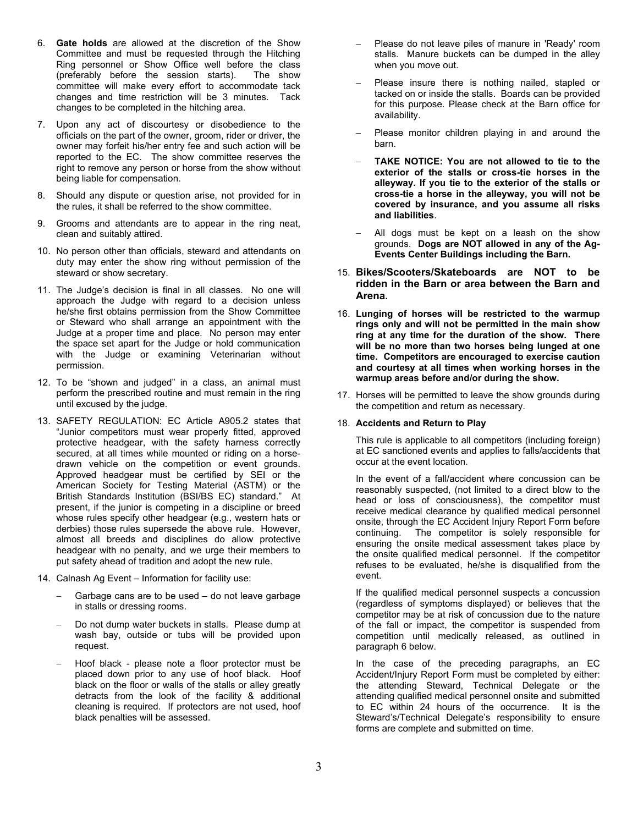- 6. **Gate holds** are allowed at the discretion of the Show Committee and must be requested through the Hitching Ring personnel or Show Office well before the class (preferably before the session starts). The show committee will make every effort to accommodate tack changes and time restriction will be 3 minutes. Tack changes to be completed in the hitching area.
- 7. Upon any act of discourtesy or disobedience to the officials on the part of the owner, groom, rider or driver, the owner may forfeit his/her entry fee and such action will be reported to the EC. The show committee reserves the right to remove any person or horse from the show without being liable for compensation.
- 8. Should any dispute or question arise, not provided for in the rules, it shall be referred to the show committee.
- 9. Grooms and attendants are to appear in the ring neat, clean and suitably attired.
- 10. No person other than officials, steward and attendants on duty may enter the show ring without permission of the steward or show secretary.
- 11. The Judge's decision is final in all classes. No one will approach the Judge with regard to a decision unless he/she first obtains permission from the Show Committee or Steward who shall arrange an appointment with the Judge at a proper time and place. No person may enter the space set apart for the Judge or hold communication with the Judge or examining Veterinarian without permission.
- 12. To be "shown and judged" in a class, an animal must perform the prescribed routine and must remain in the ring until excused by the judge.
- 13. SAFETY REGULATION: EC Article A905.2 states that "Junior competitors must wear properly fitted, approved protective headgear, with the safety harness correctly secured, at all times while mounted or riding on a horsedrawn vehicle on the competition or event grounds. Approved headgear must be certified by SEI or the American Society for Testing Material (ASTM) or the British Standards Institution (BSI/BS EC) standard." At present, if the junior is competing in a discipline or breed whose rules specify other headgear (e.g., western hats or derbies) those rules supersede the above rule. However, almost all breeds and disciplines do allow protective headgear with no penalty, and we urge their members to put safety ahead of tradition and adopt the new rule.
- 14. Calnash Ag Event Information for facility use:
	- Garbage cans are to be used do not leave garbage in stalls or dressing rooms.
	- Do not dump water buckets in stalls. Please dump at wash bay, outside or tubs will be provided upon request.
	- − Hoof black please note a floor protector must be placed down prior to any use of hoof black. Hoof black on the floor or walls of the stalls or alley greatly detracts from the look of the facility & additional cleaning is required. If protectors are not used, hoof black penalties will be assessed.
- Please do not leave piles of manure in 'Ready' room stalls. Manure buckets can be dumped in the alley when you move out.
- − Please insure there is nothing nailed, stapled or tacked on or inside the stalls. Boards can be provided for this purpose. Please check at the Barn office for availability.
- Please monitor children playing in and around the barn.
- − **TAKE NOTICE: You are not allowed to tie to the exterior of the stalls or cross-tie horses in the alleyway. If you tie to the exterior of the stalls or cross-tie a horse in the alleyway, you will not be covered by insurance, and you assume all risks and liabilities**.
- All dogs must be kept on a leash on the show grounds. **Dogs are NOT allowed in any of the Ag-Events Center Buildings including the Barn.**
- 15. **Bikes/Scooters/Skateboards are NOT to be ridden in the Barn or area between the Barn and Arena.**
- 16. **Lunging of horses will be restricted to the warmup rings only and will not be permitted in the main show ring at any time for the duration of the show. There will be no more than two horses being lunged at one time. Competitors are encouraged to exercise caution and courtesy at all times when working horses in the warmup areas before and/or during the show.**
- 17. Horses will be permitted to leave the show grounds during the competition and return as necessary.

#### 18. **Accidents and Return to Play**

This rule is applicable to all competitors (including foreign) at EC sanctioned events and applies to falls/accidents that occur at the event location.

In the event of a fall/accident where concussion can be reasonably suspected, (not limited to a direct blow to the head or loss of consciousness), the competitor must receive medical clearance by qualified medical personnel onsite, through the EC Accident Injury Report Form before continuing. The competitor is solely responsible for The competitor is solely responsible for ensuring the onsite medical assessment takes place by the onsite qualified medical personnel. If the competitor refuses to be evaluated, he/she is disqualified from the event.

If the qualified medical personnel suspects a concussion (regardless of symptoms displayed) or believes that the competitor may be at risk of concussion due to the nature of the fall or impact, the competitor is suspended from competition until medically released, as outlined in paragraph 6 below.

In the case of the preceding paragraphs, an EC Accident/Injury Report Form must be completed by either: the attending Steward, Technical Delegate or the attending qualified medical personnel onsite and submitted to EC within 24 hours of the occurrence. It is the Steward's/Technical Delegate's responsibility to ensure forms are complete and submitted on time.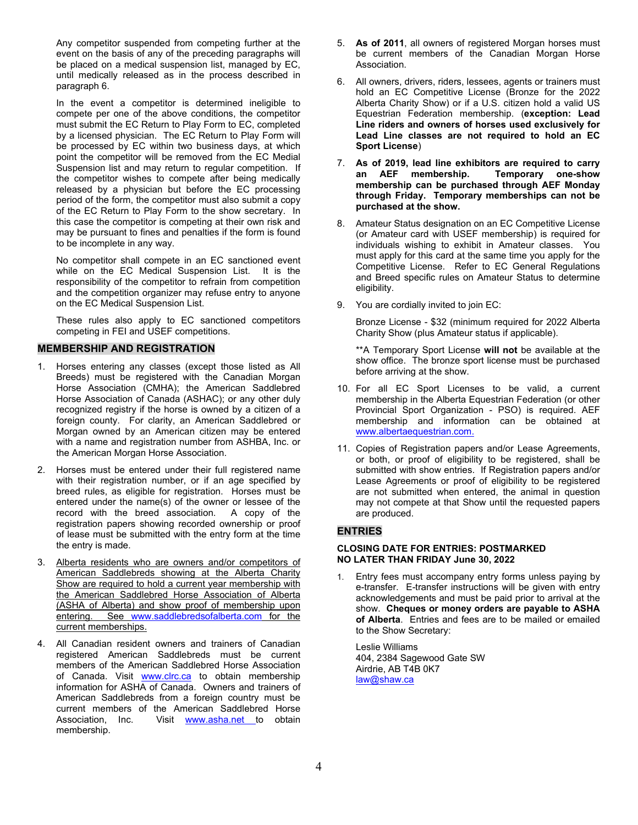Any competitor suspended from competing further at the event on the basis of any of the preceding paragraphs will be placed on a medical suspension list, managed by EC, until medically released as in the process described in paragraph 6.

In the event a competitor is determined ineligible to compete per one of the above conditions, the competitor must submit the EC Return to Play Form to EC, completed by a licensed physician. The EC Return to Play Form will be processed by EC within two business days, at which point the competitor will be removed from the EC Medial Suspension list and may return to regular competition. If the competitor wishes to compete after being medically released by a physician but before the EC processing period of the form, the competitor must also submit a copy of the EC Return to Play Form to the show secretary. In this case the competitor is competing at their own risk and may be pursuant to fines and penalties if the form is found to be incomplete in any way.

No competitor shall compete in an EC sanctioned event while on the EC Medical Suspension List. It is the responsibility of the competitor to refrain from competition and the competition organizer may refuse entry to anyone on the EC Medical Suspension List.

These rules also apply to EC sanctioned competitors competing in FEI and USEF competitions.

# **MEMBERSHIP AND REGISTRATION**

- 1. Horses entering any classes (except those listed as All Breeds) must be registered with the Canadian Morgan Horse Association (CMHA); the American Saddlebred Horse Association of Canada (ASHAC); or any other duly recognized registry if the horse is owned by a citizen of a foreign county. For clarity, an American Saddlebred or Morgan owned by an American citizen may be entered with a name and registration number from ASHBA, Inc. or the American Morgan Horse Association.
- 2. Horses must be entered under their full registered name with their registration number, or if an age specified by breed rules, as eligible for registration. Horses must be entered under the name(s) of the owner or lessee of the record with the breed association. A copy of the registration papers showing recorded ownership or proof of lease must be submitted with the entry form at the time the entry is made.
- 3. Alberta residents who are owners and/or competitors of American Saddlebreds showing at the Alberta Charity Show are required to hold a current year membership with the American Saddlebred Horse Association of Alberta (ASHA of Alberta) and show proof of membership upon entering. See www.saddlebredsofalberta.com for the current memberships.
- 4. All Canadian resident owners and trainers of Canadian registered American Saddlebreds must be current members of the American Saddlebred Horse Association of Canada. Visit www.clrc.ca to obtain membership information for ASHA of Canada. Owners and trainers of American Saddlebreds from a foreign country must be current members of the American Saddlebred Horse<br>Association, Inc. Visit www.asha.net to obtain Visit [www.asha.net](http://www.asha.net/) to obtain membership.
- 5. **As of 2011**, all owners of registered Morgan horses must be current members of the Canadian Morgan Horse Association.
- 6. All owners, drivers, riders, lessees, agents or trainers must hold an EC Competitive License (Bronze for the 2022 Alberta Charity Show) or if a U.S. citizen hold a valid US Equestrian Federation membership. (**exception: Lead Line riders and owners of horses used exclusively for Lead Line classes are not required to hold an EC Sport License**)
- 7. **As of 2019, lead line exhibitors are required to carry Temporary one-show membership can be purchased through AEF Monday through Friday. Temporary memberships can not be purchased at the show.**
- 8. Amateur Status designation on an EC Competitive License (or Amateur card with USEF membership) is required for individuals wishing to exhibit in Amateur classes. You must apply for this card at the same time you apply for the Competitive License. Refer to EC General Regulations and Breed specific rules on Amateur Status to determine eligibility.
- 9. You are cordially invited to join EC:

Bronze License - \$32 (minimum required for 2022 Alberta Charity Show (plus Amateur status if applicable).

\*\*A Temporary Sport License **will not** be available at the show office. The bronze sport license must be purchased before arriving at the show.

- 10. For all EC Sport Licenses to be valid, a current membership in the Alberta Equestrian Federation (or other Provincial Sport Organization - PSO) is required. AEF membership and information can be obtained at www.albertaequestrian.com.
- 11. Copies of Registration papers and/or Lease Agreements, or both, or proof of eligibility to be registered, shall be submitted with show entries. If Registration papers and/or Lease Agreements or proof of eligibility to be registered are not submitted when entered, the animal in question may not compete at that Show until the requested papers are produced.

# **ENTRIES**

#### **CLOSING DATE FOR ENTRIES: POSTMARKED NO LATER THAN FRIDAY June 30, 2022**

1. Entry fees must accompany entry forms unless paying by e-transfer. E-transfer instructions will be given with entry acknowledgements and must be paid prior to arrival at the show. **Cheques or money orders are payable to ASHA of Alberta**. Entries and fees are to be mailed or emailed to the Show Secretary:

Leslie Williams 404, 2384 Sagewood Gate SW Airdrie, AB T4B 0K7 [law@shaw.ca](mailto:law@shaw.ca)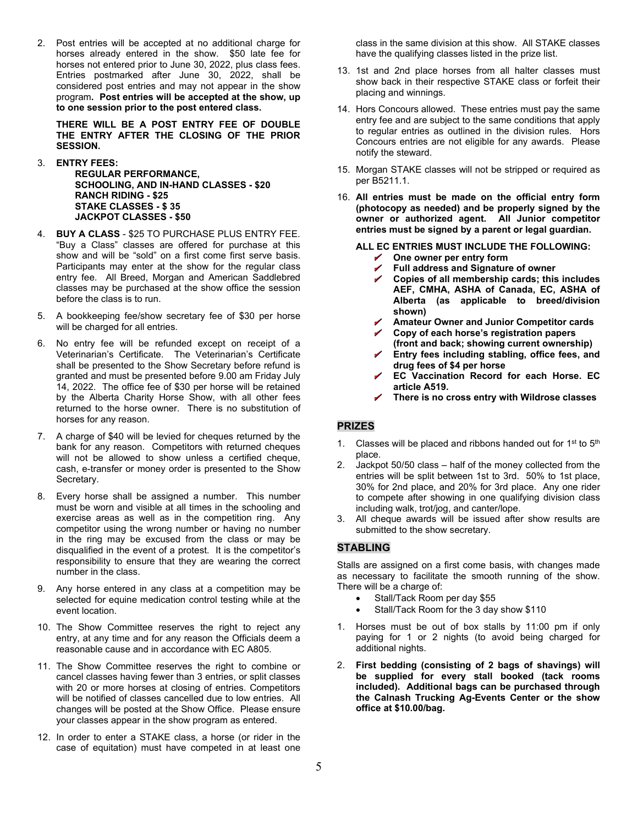2. Post entries will be accepted at no additional charge for horses already entered in the show. \$50 late fee for horses not entered prior to June 30, 2022, plus class fees. Entries postmarked after June 30, 2022, shall be considered post entries and may not appear in the show program**. Post entries will be accepted at the show, up to one session prior to the post entered class.**

**THERE WILL BE A POST ENTRY FEE OF DOUBLE THE ENTRY AFTER THE CLOSING OF THE PRIOR SESSION.**

- 3. **ENTRY FEES:**
	- **REGULAR PERFORMANCE, SCHOOLING, AND IN-HAND CLASSES - \$20 RANCH RIDING - \$25 STAKE CLASSES - \$ 35 JACKPOT CLASSES - \$50**
- 4. **BUY A CLASS**  \$25 TO PURCHASE PLUS ENTRY FEE. "Buy a Class" classes are offered for purchase at this show and will be "sold" on a first come first serve basis. Participants may enter at the show for the regular class entry fee. All Breed, Morgan and American Saddlebred classes may be purchased at the show office the session before the class is to run.
- 5. A bookkeeping fee/show secretary fee of \$30 per horse will be charged for all entries.
- 6. No entry fee will be refunded except on receipt of a Veterinarian's Certificate. The Veterinarian's Certificate shall be presented to the Show Secretary before refund is granted and must be presented before 9.00 am Friday July 14, 2022. The office fee of \$30 per horse will be retained by the Alberta Charity Horse Show, with all other fees returned to the horse owner. There is no substitution of horses for any reason.
- 7. A charge of \$40 will be levied for cheques returned by the bank for any reason. Competitors with returned cheques will not be allowed to show unless a certified cheque, cash, e-transfer or money order is presented to the Show Secretary.
- 8. Every horse shall be assigned a number. This number must be worn and visible at all times in the schooling and exercise areas as well as in the competition ring. Any competitor using the wrong number or having no number in the ring may be excused from the class or may be disqualified in the event of a protest. It is the competitor's responsibility to ensure that they are wearing the correct number in the class.
- 9. Any horse entered in any class at a competition may be selected for equine medication control testing while at the event location.
- 10. The Show Committee reserves the right to reject any entry, at any time and for any reason the Officials deem a reasonable cause and in accordance with EC A805.
- 11. The Show Committee reserves the right to combine or cancel classes having fewer than 3 entries, or split classes with 20 or more horses at closing of entries. Competitors will be notified of classes cancelled due to low entries. All changes will be posted at the Show Office. Please ensure your classes appear in the show program as entered.
- 12. In order to enter a STAKE class, a horse (or rider in the case of equitation) must have competed in at least one

class in the same division at this show. All STAKE classes have the qualifying classes listed in the prize list.

- 13. 1st and 2nd place horses from all halter classes must show back in their respective STAKE class or forfeit their placing and winnings.
- 14. Hors Concours allowed. These entries must pay the same entry fee and are subject to the same conditions that apply to regular entries as outlined in the division rules. Hors Concours entries are not eligible for any awards. Please notify the steward.
- 15. Morgan STAKE classes will not be stripped or required as per B5211.1.
- 16. **All entries must be made on the official entry form (photocopy as needed) and be properly signed by the owner or authorized agent. All Junior competitor entries must be signed by a parent or legal guardian.**

**ALL EC ENTRIES MUST INCLUDE THE FOLLOWING:**

- **One owner per entry form**
- $\overline{a}$ **Full address and Signature of owner**
- **Copies of all membership cards; this includes AEF, CMHA, ASHA of Canada, EC, ASHA of Alberta (as applicable to breed/division shown)**
- **Amateur Owner and Junior Competitor cards**
- **Copy of each horse's registration papers (front and back; showing current ownership)**
- **Entry fees including stabling, office fees, and drug fees of \$4 per horse**
- **EC Vaccination Record for each Horse. EC article A519.**
- **There is no cross entry with Wildrose classes**

# **PRIZES**

- 1. Classes will be placed and ribbons handed out for  $1<sup>st</sup>$  to  $5<sup>th</sup>$ place.
- 2. Jackpot 50/50 class half of the money collected from the entries will be split between 1st to 3rd. 50% to 1st place, 30% for 2nd place, and 20% for 3rd place. Any one rider to compete after showing in one qualifying division class including walk, trot/jog, and canter/lope.
- 3. All cheque awards will be issued after show results are submitted to the show secretary.

# **STABLING**

Stalls are assigned on a first come basis, with changes made as necessary to facilitate the smooth running of the show. There will be a charge of:

- Stall/Tack Room per day \$55
- Stall/Tack Room for the 3 day show \$110
- 1. Horses must be out of box stalls by 11:00 pm if only paying for 1 or 2 nights (to avoid being charged for additional nights.
- 2. **First bedding (consisting of 2 bags of shavings) will be supplied for every stall booked (tack rooms included). Additional bags can be purchased through the Calnash Trucking Ag-Events Center or the show office at \$10.00/bag.**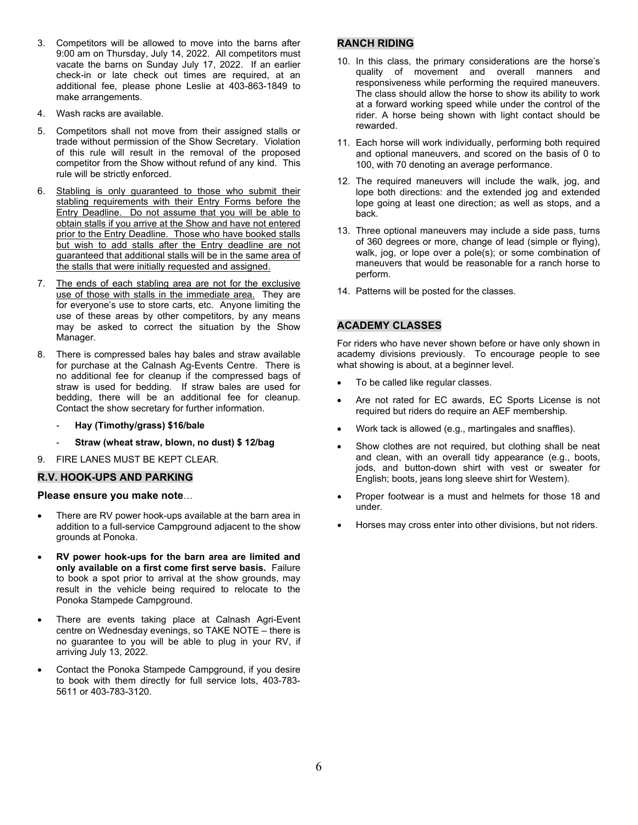- 3. Competitors will be allowed to move into the barns after 9:00 am on Thursday, July 14, 2022. All competitors must vacate the barns on Sunday July 17, 2022. If an earlier check-in or late check out times are required, at an additional fee, please phone Leslie at 403-863-1849 to make arrangements.
- 4. Wash racks are available.
- 5. Competitors shall not move from their assigned stalls or trade without permission of the Show Secretary. Violation of this rule will result in the removal of the proposed competitor from the Show without refund of any kind. This rule will be strictly enforced.
- 6. Stabling is only guaranteed to those who submit their stabling requirements with their Entry Forms before the Entry Deadline. Do not assume that you will be able to obtain stalls if you arrive at the Show and have not entered prior to the Entry Deadline. Those who have booked stalls but wish to add stalls after the Entry deadline are not guaranteed that additional stalls will be in the same area of the stalls that were initially requested and assigned.
- 7. The ends of each stabling area are not for the exclusive use of those with stalls in the immediate area. They are for everyone's use to store carts, etc. Anyone limiting the use of these areas by other competitors, by any means may be asked to correct the situation by the Show Manager.
- 8. There is compressed bales hay bales and straw available for purchase at the Calnash Ag-Events Centre. There is no additional fee for cleanup if the compressed bags of straw is used for bedding. If straw bales are used for bedding, there will be an additional fee for cleanup. Contact the show secretary for further information.
	- **Hay (Timothy/grass) \$16/bale**
	- **Straw (wheat straw, blown, no dust) \$ 12/bag**
- 9. FIRE LANES MUST BE KEPT CLEAR.

#### **R.V. HOOK-UPS AND PARKING**

#### **Please ensure you make note**…

- There are RV power hook-ups available at the barn area in addition to a full-service Campground adjacent to the show grounds at Ponoka.
- **RV power hook-ups for the barn area are limited and only available on a first come first serve basis.** Failure to book a spot prior to arrival at the show grounds, may result in the vehicle being required to relocate to the Ponoka Stampede Campground.
- There are events taking place at Calnash Agri-Event centre on Wednesday evenings, so TAKE NOTE – there is no guarantee to you will be able to plug in your RV, if arriving July 13, 2022.
- Contact the Ponoka Stampede Campground, if you desire to book with them directly for full service lots, 403-783- 5611 or 403-783-3120.

# **RANCH RIDING**

- 10. In this class, the primary considerations are the horse's quality of movement and overall manners and responsiveness while performing the required maneuvers. The class should allow the horse to show its ability to work at a forward working speed while under the control of the rider. A horse being shown with light contact should be rewarded.
- 11. Each horse will work individually, performing both required and optional maneuvers, and scored on the basis of 0 to 100, with 70 denoting an average performance.
- 12. The required maneuvers will include the walk, jog, and lope both directions: and the extended jog and extended lope going at least one direction; as well as stops, and a back.
- 13. Three optional maneuvers may include a side pass, turns of 360 degrees or more, change of lead (simple or flying), walk, jog, or lope over a pole(s); or some combination of maneuvers that would be reasonable for a ranch horse to perform.
- 14. Patterns will be posted for the classes.

# **ACADEMY CLASSES**

For riders who have never shown before or have only shown in academy divisions previously. To encourage people to see what showing is about, at a beginner level.

- To be called like regular classes.
- Are not rated for EC awards, EC Sports License is not required but riders do require an AEF membership.
- Work tack is allowed (e.g., martingales and snaffles).
- Show clothes are not required, but clothing shall be neat and clean, with an overall tidy appearance (e.g., boots, jods, and button-down shirt with vest or sweater for English; boots, jeans long sleeve shirt for Western).
- Proper footwear is a must and helmets for those 18 and under.
- Horses may cross enter into other divisions, but not riders.